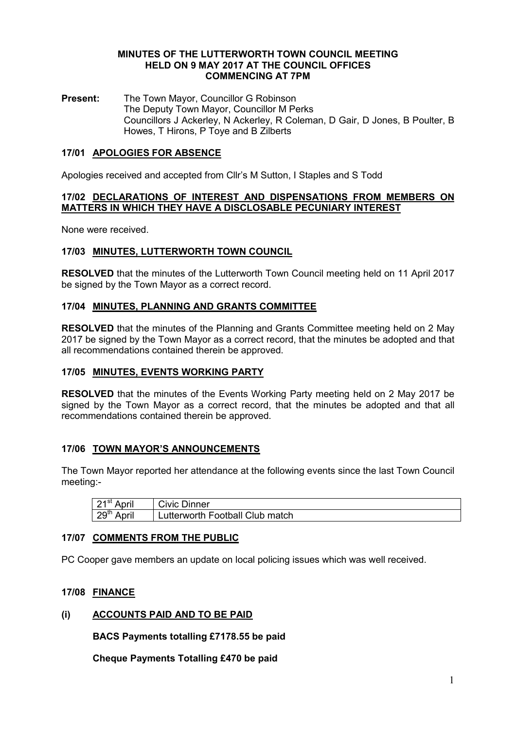#### MINUTES OF THE LUTTERWORTH TOWN COUNCIL MEETING HELD ON 9 MAY 2017 AT THE COUNCIL OFFICES COMMENCING AT 7PM

Present: The Town Mayor, Councillor G Robinson The Deputy Town Mayor, Councillor M Perks Councillors J Ackerley, N Ackerley, R Coleman, D Gair, D Jones, B Poulter, B Howes, T Hirons, P Toye and B Zilberts

# 17/01 APOLOGIES FOR ABSENCE

Apologies received and accepted from Cllr's M Sutton, I Staples and S Todd

### 17/02 DECLARATIONS OF INTEREST AND DISPENSATIONS FROM MEMBERS ON MATTERS IN WHICH THEY HAVE A DISCLOSABLE PECUNIARY INTEREST

None were received.

# 17/03 MINUTES, LUTTERWORTH TOWN COUNCIL

RESOLVED that the minutes of the Lutterworth Town Council meeting held on 11 April 2017 be signed by the Town Mayor as a correct record.

#### 17/04 MINUTES, PLANNING AND GRANTS COMMITTEE

RESOLVED that the minutes of the Planning and Grants Committee meeting held on 2 May 2017 be signed by the Town Mayor as a correct record, that the minutes be adopted and that all recommendations contained therein be approved.

# 17/05 MINUTES, EVENTS WORKING PARTY

RESOLVED that the minutes of the Events Working Party meeting held on 2 May 2017 be signed by the Town Mayor as a correct record, that the minutes be adopted and that all recommendations contained therein be approved.

# 17/06 TOWN MAYOR'S ANNOUNCEMENTS

The Town Mayor reported her attendance at the following events since the last Town Council meeting:-

| $\frac{1}{2}$ 21 <sup>st</sup> April | <b>Civic Dinner</b>             |
|--------------------------------------|---------------------------------|
| $\frac{1}{2}$ 29 <sup>th</sup> April | Lutterworth Football Club match |

# 17/07 COMMENTS FROM THE PUBLIC

PC Cooper gave members an update on local policing issues which was well received.

### 17/08 FINANCE

#### (i) ACCOUNTS PAID AND TO BE PAID

BACS Payments totalling £7178.55 be paid

Cheque Payments Totalling £470 be paid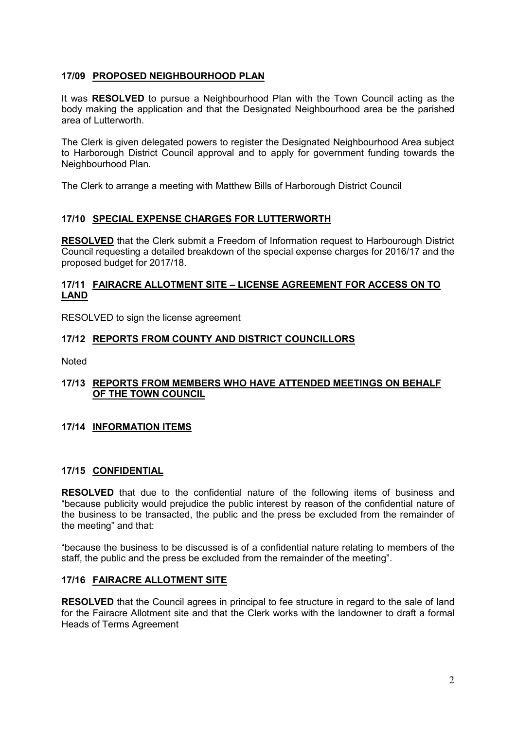# 17/09 PROPOSED NEIGHBOURHOOD PLAN

It was RESOLVED to pursue a Neighbourhood Plan with the Town Council acting as the body making the application and that the Designated Neighbourhood area be the parished area of Lutterworth.

The Clerk is given delegated powers to register the Designated Neighbourhood Area subject to Harborough District Council approval and to apply for government funding towards the Neighbourhood Plan.

The Clerk to arrange a meeting with Matthew Bills of Harborough District Council

# 17/10 SPECIAL EXPENSE CHARGES FOR LUTTERWORTH

RESOLVED that the Clerk submit a Freedom of Information request to Harbourough District Council requesting a detailed breakdown of the special expense charges for 2016/17 and the proposed budget for 2017/18.

# 17/11 FAIRACRE ALLOTMENT SITE – LICENSE AGREEMENT FOR ACCESS ON TO **LAND**

RESOLVED to sign the license agreement

# 17/12 REPORTS FROM COUNTY AND DISTRICT COUNCILLORS

Noted

# 17/13 REPORTS FROM MEMBERS WHO HAVE ATTENDED MEETINGS ON BEHALF OF THE TOWN COUNCIL

# 17/14 INFORMATION ITEMS

# 17/15 CONFIDENTIAL

RESOLVED that due to the confidential nature of the following items of business and "because publicity would prejudice the public interest by reason of the confidential nature of the business to be transacted, the public and the press be excluded from the remainder of the meeting" and that:

"because the business to be discussed is of a confidential nature relating to members of the staff, the public and the press be excluded from the remainder of the meeting".

# 17/16 FAIRACRE ALLOTMENT SITE

**RESOLVED** that the Council agrees in principal to fee structure in regard to the sale of land for the Fairacre Allotment site and that the Clerk works with the landowner to draft a formal Heads of Terms Agreement